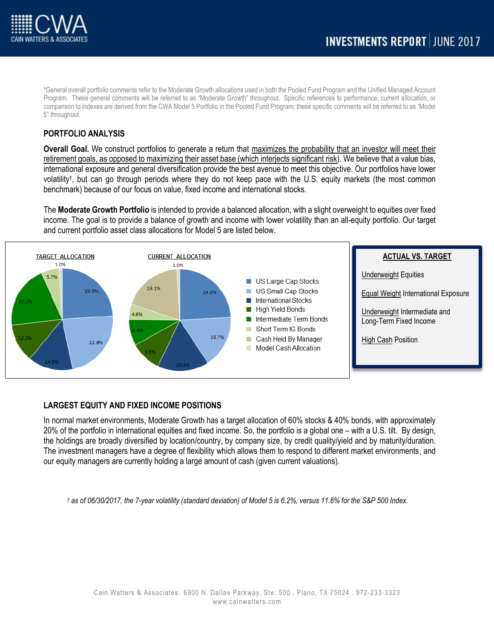

\*General overall portfolio comments refer to the Moderate Growth allocations used in both the Pooled Fund Program and the Unified Managed Account Program. These general comments will be referred to as "Moderate Growth" throughout. Specific references to performance, current allocation, or comparison to indexes are derived from the CWA Model 5 Portfolio in the Pooled Fund Program; these specific comments will be referred to as "Model 5" throughout.

# **PORTFOLIO ANALYSIS**

**Overall Goal.** We construct portfolios to generate a return that maximizes the probability that an investor will meet their retirement goals, as opposed to maximizing their asset base (which interjects significant risk). We believe that a value bias, international exposure and general diversification provide the best avenue to meet this objective. Our portfolios have lower volatility† , but can go through periods where they do not keep pace with the U.S. equity markets (the most common benchmark) because of our focus on value, fixed income and international stocks.

The **Moderate Growth Portfolio** is intended to provide a balanced allocation, with a slight overweight to equities over fixed income. The goal is to provide a balance of growth and income with lower volatility than an all-equity portfolio. Our target and current portfolio asset class allocations for Model 5 are listed below.



# **LARGEST EQUITY AND FIXED INCOME POSITIONS**

In normal market environments, Moderate Growth has a target allocation of 60% stocks & 40% bonds, with approximately 20% of the portfolio in international equities and fixed income. So, the portfolio is a global one – with a U.S. tilt. By design, the holdings are broadly diversified by location/country, by company size, by credit quality/yield and by maturity/duration. The investment managers have a degree of flexibility which allows them to respond to different market environments, and our equity managers are currently holding a large amount of cash (given current valuations).

*† as of 06/30/2017, the 7-year volatility (standard deviation) of Model 5 is 6.2%, versus 11.6% for the S&P 500 Index.*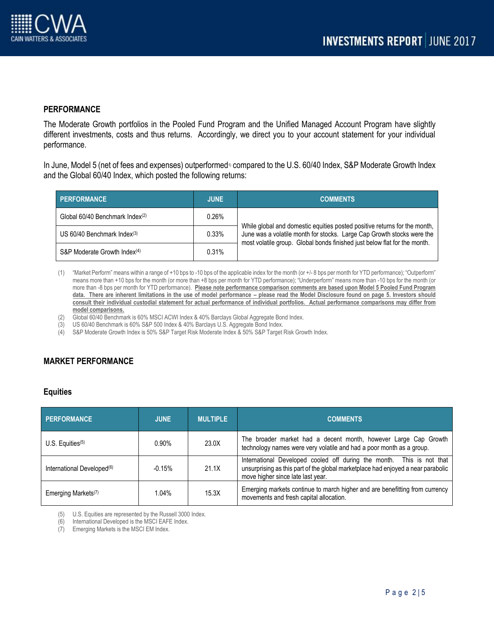# **PERFORMANCE**

The Moderate Growth portfolios in the Pooled Fund Program and the Unified Managed Account Program have slightly different investments, costs and thus returns. Accordingly, we direct you to your account statement for your individual performance.

In June, Model 5 (net of fees and expenses) outperformed<sup>1</sup> compared to the U.S. 60/40 Index, S&P Moderate Growth Index and the Global 60/40 Index, which posted the following returns:

| PERFORMANCE                                 | JUNE <sub>1</sub> | <b>COMMENTS</b>                                                                                                                                                                                                                  |
|---------------------------------------------|-------------------|----------------------------------------------------------------------------------------------------------------------------------------------------------------------------------------------------------------------------------|
| Global 60/40 Benchmark Index <sup>(2)</sup> | 0.26%             | While global and domestic equities posted positive returns for the month,<br>June was a volatile month for stocks. Large Cap Growth stocks were the<br>most volatile group. Global bonds finished just below flat for the month. |
| US $60/40$ Benchmark Index <sup>(3)</sup>   | 0.33%             |                                                                                                                                                                                                                                  |
| S&P Moderate Growth Index <sup>(4)</sup>    | 0.31%             |                                                                                                                                                                                                                                  |

(1) "Market Perform" means within a range of +10 bps to -10 bps of the applicable index for the month (or +/- 8 bps per month for YTD performance); "Outperform" means more than +10 bps for the month (or more than +8 bps per month for YTD performance); "Underperform" means more than -10 bps for the month (or more than -8 bps per month for YTD performance). **Please note performance comparison comments are based upon Model 5 Pooled Fund Program data. There are inherent limitations in the use of model performance – please read the Model Disclosure found on page 5. Investors should consult their individual custodial statement for actual performance of individual portfolios. Actual performance comparisons may differ from model comparisons.** 

(2) Global 60/40 Benchmark is 60% MSCI ACWI Index & 40% Barclays Global Aggregate Bond Index.

(3) US 60/40 Benchmark is 60% S&P 500 Index & 40% Barclays U.S. Aggregate Bond Index.

S&P Moderate Growth Index is 50% S&P Target Risk Moderate Index & 50% S&P Target Risk Growth Index.

# **MARKET PERFORMANCE**

## **Equities**

| <b>PERFORMANCE</b>                     | <b>JUNE</b> | <b>MULTIPLE</b> | <b>COMMENTS</b>                                                                                                                                                                                |
|----------------------------------------|-------------|-----------------|------------------------------------------------------------------------------------------------------------------------------------------------------------------------------------------------|
| U.S. Equities $(5)$                    | $0.90\%$    | 23.0X           | The broader market had a decent month, however Large Cap Growth<br>technology names were very volatile and had a poor month as a group.                                                        |
| International Developed <sup>(6)</sup> | $-0.15%$    | 21.1X           | International Developed cooled off during the month. This is not that<br>unsurprising as this part of the global marketplace had enjoyed a near parabolic<br>move higher since late last year. |
| Emerging Markets <sup>(7)</sup>        | 1.04%       | 15.3X           | Emerging markets continue to march higher and are benefitting from currency<br>movements and fresh capital allocation.                                                                         |

(5) U.S. Equities are represented by the Russell 3000 Index.

(6) International Developed is the MSCI EAFE Index.

(7) Emerging Markets is the MSCI EM Index.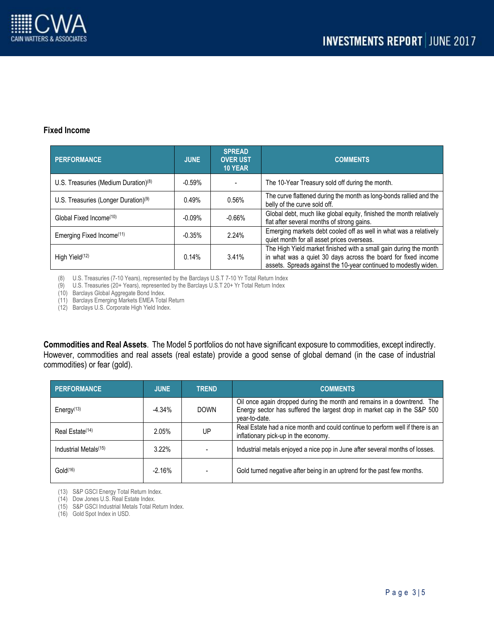

## **Fixed Income**

| <b>PERFORMANCE</b>                               | <b>JUNE</b> | <b>SPREAD</b><br><b>OVER UST</b><br><b>10 YEAR</b> | <b>COMMENTS</b>                                                                                                                                                                                        |
|--------------------------------------------------|-------------|----------------------------------------------------|--------------------------------------------------------------------------------------------------------------------------------------------------------------------------------------------------------|
| U.S. Treasuries (Medium Duration) <sup>(8)</sup> | $-0.59%$    |                                                    | The 10-Year Treasury sold off during the month.                                                                                                                                                        |
| U.S. Treasuries (Longer Duration) <sup>(9)</sup> | 0.49%       | 0.56%                                              | The curve flattened during the month as long-bonds rallied and the<br>belly of the curve sold off.                                                                                                     |
| Global Fixed Income(10)                          | $-0.09%$    | $-0.66%$                                           | Global debt, much like global equity, finished the month relatively<br>flat after several months of strong gains.                                                                                      |
| Emerging Fixed Income <sup>(11)</sup>            | $-0.35%$    | 2.24%                                              | Emerging markets debt cooled off as well in what was a relatively<br>quiet month for all asset prices overseas.                                                                                        |
| High Yield <sup>(12)</sup>                       | 0.14%       | 3.41%                                              | The High Yield market finished with a small gain during the month<br>in what was a quiet 30 days across the board for fixed income<br>assets. Spreads against the 10-year continued to modestly widen. |

(8) U.S. Treasuries (7-10 Years), represented by the Barclays U.S.T 7-10 Yr Total Return Index

(9) U.S. Treasuries (20+ Years), represented by the Barclays U.S.T 20+ Yr Total Return Index

(10) Barclays Global Aggregate Bond Index.

(11) Barclays Emerging Markets EMEA Total Return

(12) Barclays U.S. Corporate High Yield Index.

**Commodities and Real Assets**. The Model 5 portfolios do not have significant exposure to commodities, except indirectly. However, commodities and real assets (real estate) provide a good sense of global demand (in the case of industrial commodities) or fear (gold).

| <b>PERFORMANCE</b>                  | <b>JUNE</b> | <b>TREND</b> | <b>COMMENTS</b>                                                                                                                                                      |
|-------------------------------------|-------------|--------------|----------------------------------------------------------------------------------------------------------------------------------------------------------------------|
| Energy <sup><math>(13)</math></sup> | $-4.34%$    | <b>DOWN</b>  | Oil once again dropped during the month and remains in a downtrend. The<br>Energy sector has suffered the largest drop in market cap in the S&P 500<br>vear-to-date. |
| Real Estate <sup>(14)</sup>         | 2.05%       | UP           | Real Estate had a nice month and could continue to perform well if there is an<br>inflationary pick-up in the economy.                                               |
| Industrial Metals <sup>(15)</sup>   | $3.22\%$    |              | Industrial metals enjoyed a nice pop in June after several months of losses.                                                                                         |
| Gold <sup>(16)</sup>                | $-2.16%$    |              | Gold turned negative after being in an uptrend for the past few months.                                                                                              |

(13) S&P GSCI Energy Total Return Index.

(14) Dow Jones U.S. Real Estate Index.

(15) S&P GSCI Industrial Metals Total Return Index.

(16) Gold Spot Index in USD.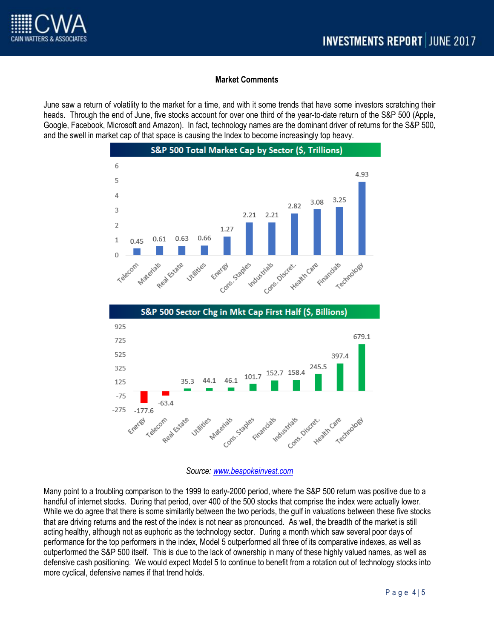## **Market Comments**

June saw a return of volatility to the market for a time, and with it some trends that have some investors scratching their heads. Through the end of June, five stocks account for over one third of the year-to-date return of the S&P 500 (Apple, Google, Facebook, Microsoft and Amazon). In fact, technology names are the dominant driver of returns for the S&P 500, and the swell in market cap of that space is causing the Index to become increasingly top heavy.



![](_page_3_Figure_5.jpeg)

*Source: [www.bespokeinvest.com](http://www.bespokeinvest.com/)*

Many point to a troubling comparison to the 1999 to early-2000 period, where the S&P 500 return was positive due to a handful of internet stocks. During that period, over 400 of the 500 stocks that comprise the index were actually lower. While we do agree that there is some similarity between the two periods, the gulf in valuations between these five stocks that are driving returns and the rest of the index is not near as pronounced. As well, the breadth of the market is still acting healthy, although not as euphoric as the technology sector. During a month which saw several poor days of performance for the top performers in the index, Model 5 outperformed all three of its comparative indexes, as well as outperformed the S&P 500 itself. This is due to the lack of ownership in many of these highly valued names, as well as defensive cash positioning. We would expect Model 5 to continue to benefit from a rotation out of technology stocks into more cyclical, defensive names if that trend holds.